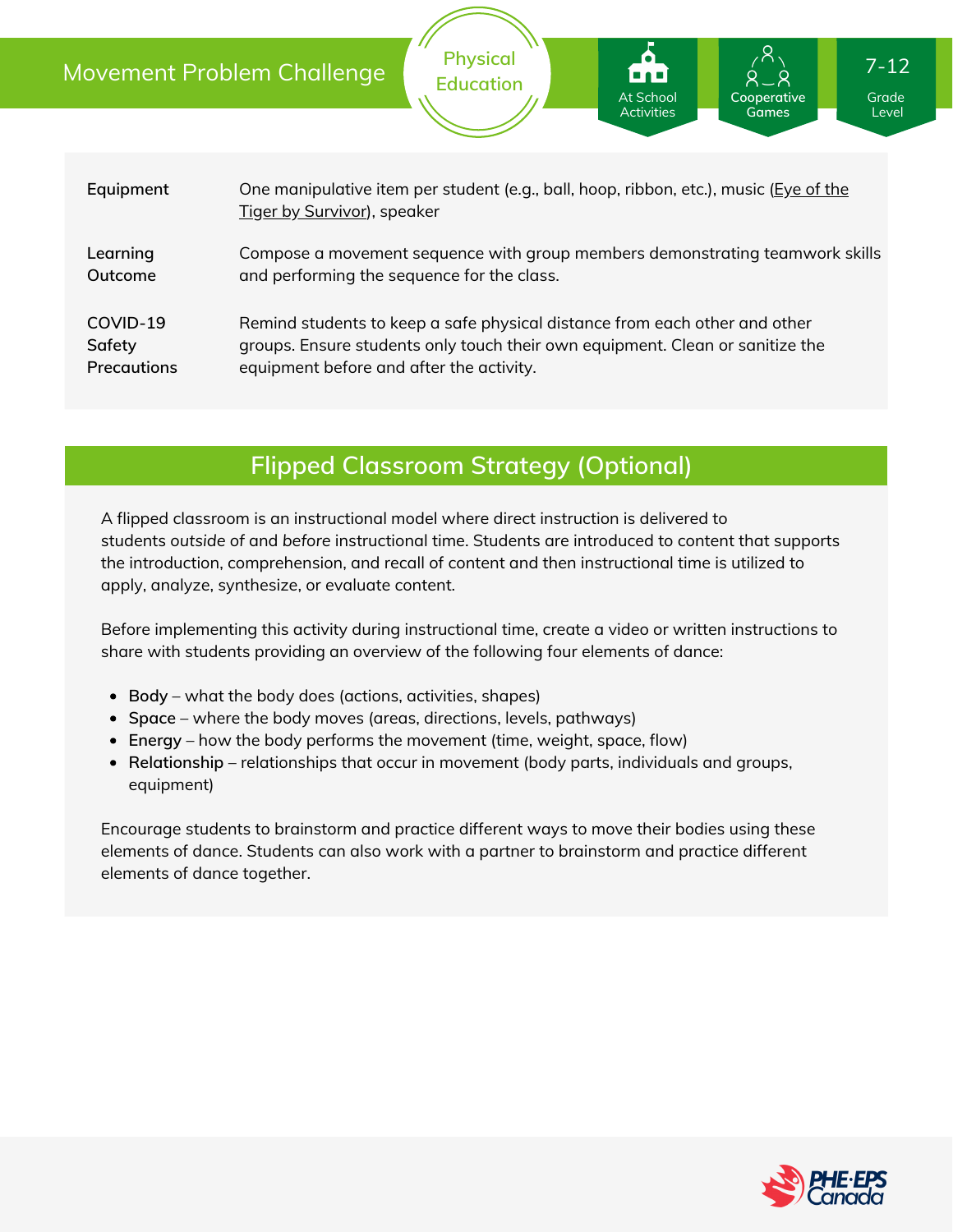### Movement Problem Challenge

| Equipment          | One manipulative item per student (e.g., ball, hoop, ribbon, etc.), music (Eye of the<br>Tiger by Survivor), speaker |
|--------------------|----------------------------------------------------------------------------------------------------------------------|
| Learning           | Compose a movement sequence with group members demonstrating teamwork skills                                         |
| Outcome            | and performing the sequence for the class.                                                                           |
| COVID-19           | Remind students to keep a safe physical distance from each other and other                                           |
| Safety             | groups. Ensure students only touch their own equipment. Clean or sanitize the                                        |
| <b>Precautions</b> | equipment before and after the activity.                                                                             |

### **Flipped Classroom Strategy (Optional)**

A flipped classroom is an instructional model where direct instruction is delivered to students *outside of* and *before* instructional time. Students are introduced to content that supports the introduction, comprehension, and recall of content and then instructional time is utilized to apply, analyze, synthesize, or evaluate content.

Before implementing this activity during instructional time, create a video or written instructions to share with students providing an overview of the following four elements of dance:

- **Body** what the body does (actions, activities, shapes)
- **Space** where the body moves (areas, directions, levels, pathways)
- **Energy** how the body performs the movement (time, weight, space, flow)
- **Relationship** relationships that occur in movement (body parts, individuals and groups, equipment)

Encourage students to brainstorm and practice different ways to move their bodies using these elements of dance. Students can also work with a partner to brainstorm and practice different elements of dance together.



Grade Level

**Cooperative Games**

At School Activities

7-12

**Physical Education**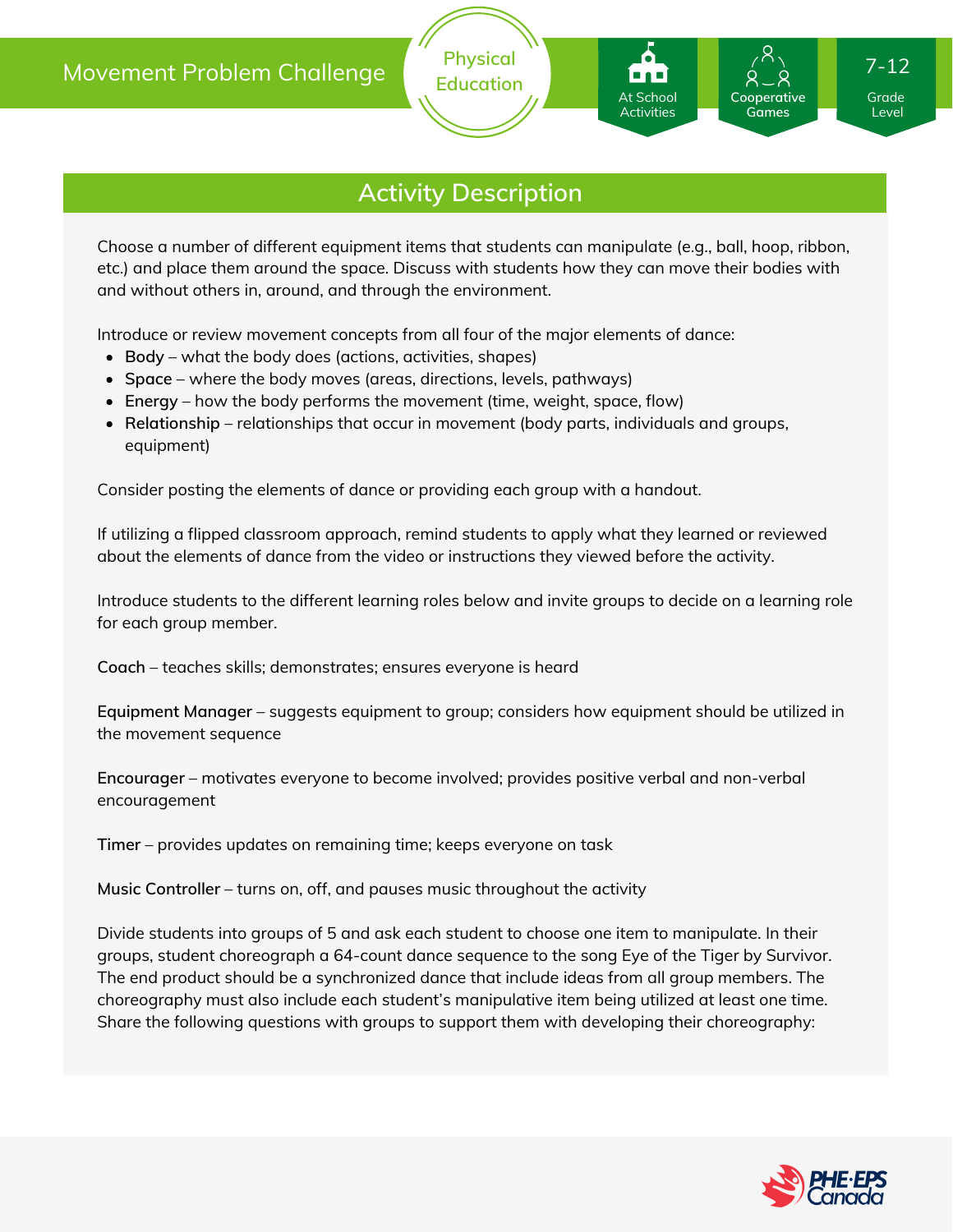## **Activity Description**

**Physical**

Choose a number of different equipment items that students can manipulate (e.g., ball, hoop, ribbon, etc.) and place them around the space. Discuss with students how they can move their bodies with and without others in, around, and through the environment.

Introduce or review movement concepts from all four of the major elements of dance:

- **Body** what the body does (actions, activities, shapes)
- **Space** where the body moves (areas, directions, levels, pathways)
- **Energy** how the body performs the movement (time, weight, space, flow)
- **Relationship** relationships that occur in movement (body parts, individuals and groups, equipment)

Consider posting the elements of dance or providing each group with a handout.

If utilizing a flipped classroom approach, remind students to apply what they learned or reviewed about the elements of dance from the video or instructions they viewed before the activity.

Introduce students to the different learning roles below and invite groups to decide on a learning role for each group member.

**Coach** – teaches skills; demonstrates; ensures everyone is heard

**Equipment Manager** – suggests equipment to group; considers how equipment should be utilized in the movement sequence

**Encourager** – motivates everyone to become involved; provides positive verbal and non-verbal encouragement

**Timer** – provides updates on remaining time; keeps everyone on task

**Music Controller** – turns on, off, and pauses music throughout the activity

Divide students into groups of 5 and ask each student to choose one item to manipulate. In their groups, student choreograph a 64-count dance sequence to the song Eye of the Tiger by Survivor. The end product should be a synchronized dance that include ideas from all group members. The choreography must also include each student's manipulative item being utilized at least one time. Share the following questions with groups to support them with developing their choreography:

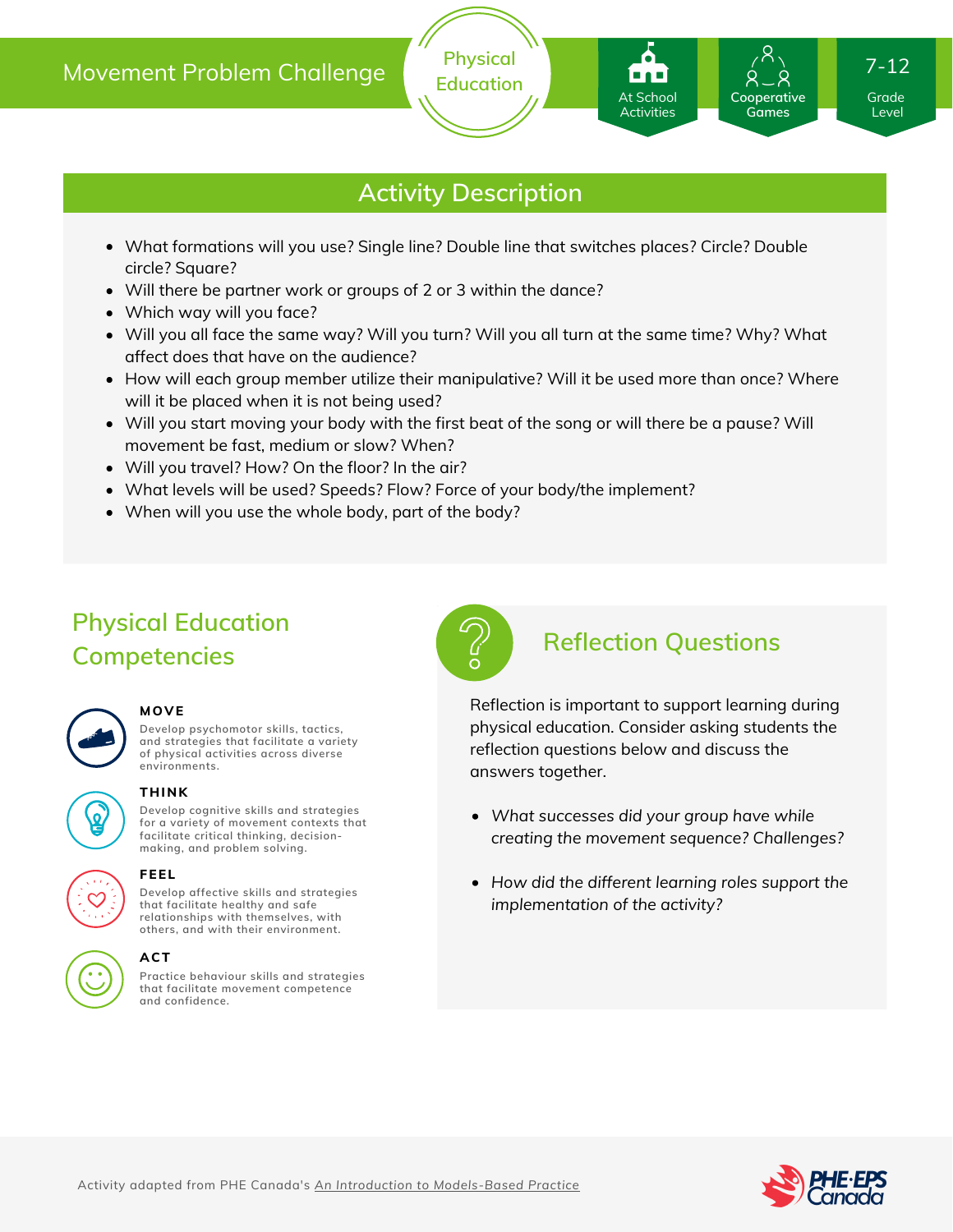### Movement Problem Challenge



## **Activity Description**

**Physical Education**

- What formations will you use? Single line? Double line that switches places? Circle? Double circle? Square?
- Will there be partner work or groups of 2 or 3 within the dance?
- Which way will you face?
- Will you all face the same way? Will you turn? Will you all turn at the same time? Why? What affect does that have on the audience?
- How will each group member utilize their manipulative? Will it be used more than once? Where will it be placed when it is not being used?
- Will you start moving your body with the first beat of the song or will there be a pause? Will movement be fast, medium or slow? When?
- Will you travel? How? On the floor? In the air?
- What levels will be used? Speeds? Flow? Force of your body/the implement?
- When will you use the whole body, part of the body?

# **Physical Education Competencies**



#### **MOVE**

**Develop psychomotor skills, tactics, and strategies that facilitate a variety of physical activities across diverse environments.**



#### **THINK**

**Develop cognitive skills and strategies for a variety of movement contexts that facilitate critical thinking, decision making, and problem solving.**



#### **FEEL**

**Develop affective skills and strategies that facilitate healthy and safe relationships with themselves, with others, and with their environment.**

#### **ACT**

**Practice behaviour skills and strategies that facilitate movement competence and confidence.**



### **Reflection Questions**

Reflection is important to support learning during physical education. Consider asking students the reflection questions below and discuss the answers together.

- *What successes did your group have while creating the movement sequence? Challenges?*
- *How did the different learning roles support the implementation of the activity?*